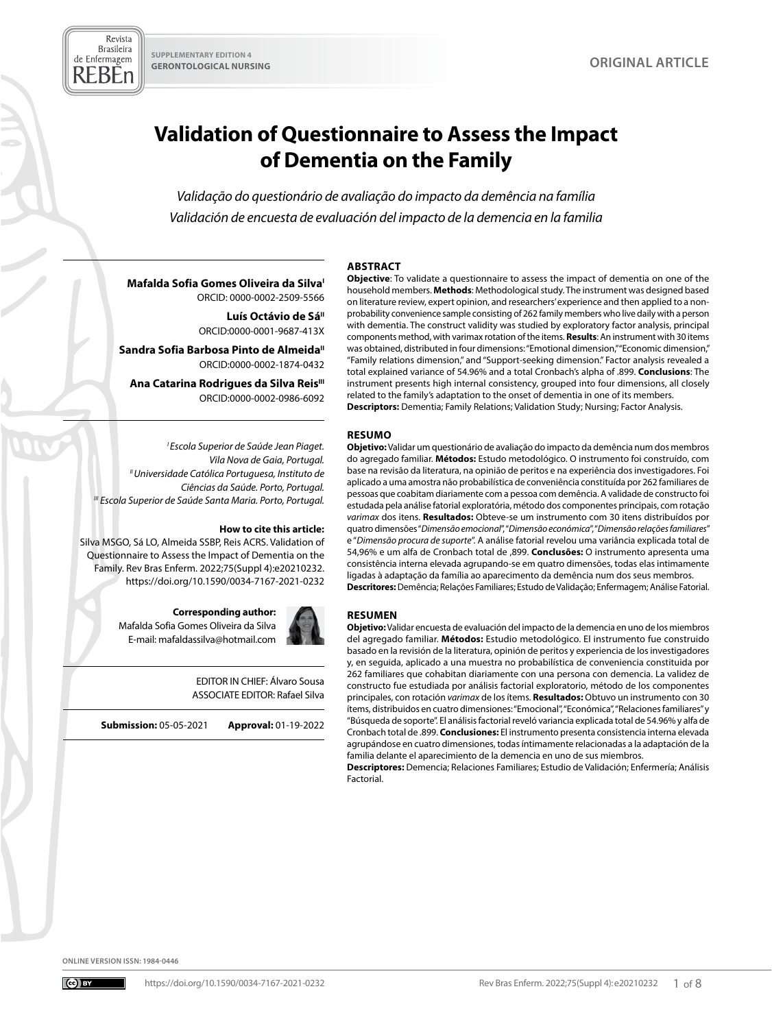# **Validation of Questionnaire to Assess the Impact of Dementia on the Family**

*Validação do questionário de avaliação do impacto da demência na família Validación de encuesta de evaluación del impacto de la demencia en la familia*

#### **ABSTRACT Objective**: To validate a questionnaire to assess the impact of dementia on one of the

#### **Mafalda Sofia Gomes Oliveira da Silva** ORCID: 0000-0002-2509-5566

Luís Octávio de Sá<sup>II</sup> ORCID:0000-0001-9687-413X

**Sandra Sofia Barbosa Pinto de Almeida"** ORCID:0000-0002-1874-0432

**Ana Catarina Rodrigues da Silva Reis**<sup>III</sup> ORCID:0000-0002-0986-6092

*I Escola Superior de Saúde Jean Piaget. Vila Nova de Gaia, Portugal. II Universidade Católica Portuguesa, Instituto de Ciências da Saúde. Porto, Portugal. III Escola Superior de Saúde Santa Maria. Porto, Portugal.*

#### **How to cite this article:**

Silva MSGO, Sá LO, Almeida SSBP, Reis ACRS. Validation of Questionnaire to Assess the Impact of Dementia on the Family. Rev Bras Enferm. 2022;75(Suppl 4):e20210232. <https://doi.org/10.1590/0034-7167-2021-0232>

#### **Corresponding author:**

Mafalda Sofia Gomes Oliveira da Silva E-mail: mafaldassilva@hotmail.com



EDITOR IN CHIEF: Álvaro Sousa ASSOCIATE EDITOR: Rafael Silva

**Submission:** 05-05-2021 **Approval:** 01-19-2022

household members. **Methods**: Methodological study. The instrument was designed based on literature review, expert opinion, and researchers' experience and then applied to a nonprobability convenience sample consisting of 262 family members who live daily with a person with dementia. The construct validity was studied by exploratory factor analysis, principal components method, with varimax rotation of the items. **Results**: An instrument with 30 items was obtained, distributed in four dimensions: "Emotional dimension," "Economic dimension," "Family relations dimension," and "Support-seeking dimension." Factor analysis revealed a total explained variance of 54.96% and a total Cronbach's alpha of .899. **Conclusions**: The instrument presents high internal consistency, grouped into four dimensions, all closely related to the family's adaptation to the onset of dementia in one of its members. **Descriptors:** Dementia; Family Relations; Validation Study; Nursing; Factor Analysis.

#### **RESUMO**

**Objetivo:** Validar um questionário de avaliação do impacto da demência num dos membros do agregado familiar. **Métodos:** Estudo metodológico. O instrumento foi construído, com base na revisão da literatura, na opinião de peritos e na experiência dos investigadores. Foi aplicado a uma amostra não probabilística de conveniência constituída por 262 familiares de pessoas que coabitam diariamente com a pessoa com demência. A validade de constructo foi estudada pela análise fatorial exploratória, método dos componentes principais, com rotação *varimax* dos itens. **Resultados:** Obteve-se um instrumento com 30 itens distribuídos por quatro dimensões "*Dimensão emocional*", "*Dimensão económica*", "*Dimensão relações familiares*" e "*Dimensão procura de suporte*". A análise fatorial revelou uma variância explicada total de 54,96% e um alfa de Cronbach total de ,899. **Conclusões:** O instrumento apresenta uma consistência interna elevada agrupando-se em quatro dimensões, todas elas intimamente ligadas à adaptação da família ao aparecimento da demência num dos seus membros. **Descritores:** Demência; Relações Familiares; Estudo de Validação; Enfermagem; Análise Fatorial.

#### **RESUMEN**

**Objetivo:** Validar encuesta de evaluación del impacto de la demencia en uno de los miembros del agregado familiar. **Métodos:** Estudio metodológico. El instrumento fue construido basado en la revisión de la literatura, opinión de peritos y experiencia de los investigadores y, en seguida, aplicado a una muestra no probabilística de conveniencia constituida por 262 familiares que cohabitan diariamente con una persona con demencia. La validez de constructo fue estudiada por análisis factorial exploratorio, método de los componentes principales, con rotación *varimax* de los ítems. **Resultados:** Obtuvo un instrumento con 30 ítems, distribuidos en cuatro dimensiones: "Emocional", "Económica", "Relaciones familiares" y "Búsqueda de soporte". El análisis factorial reveló variancia explicada total de 54.96% y alfa de Cronbach total de .899. **Conclusiones:** El instrumento presenta consistencia interna elevada agrupándose en cuatro dimensiones, todas íntimamente relacionadas a la adaptación de la familia delante el aparecimiento de la demencia en uno de sus miembros.

**Descriptores:** Demencia; Relaciones Familiares; Estudio de Validación; Enfermería; Análisis Factorial.

**ONLINE VERSION ISSN: 1984-0446**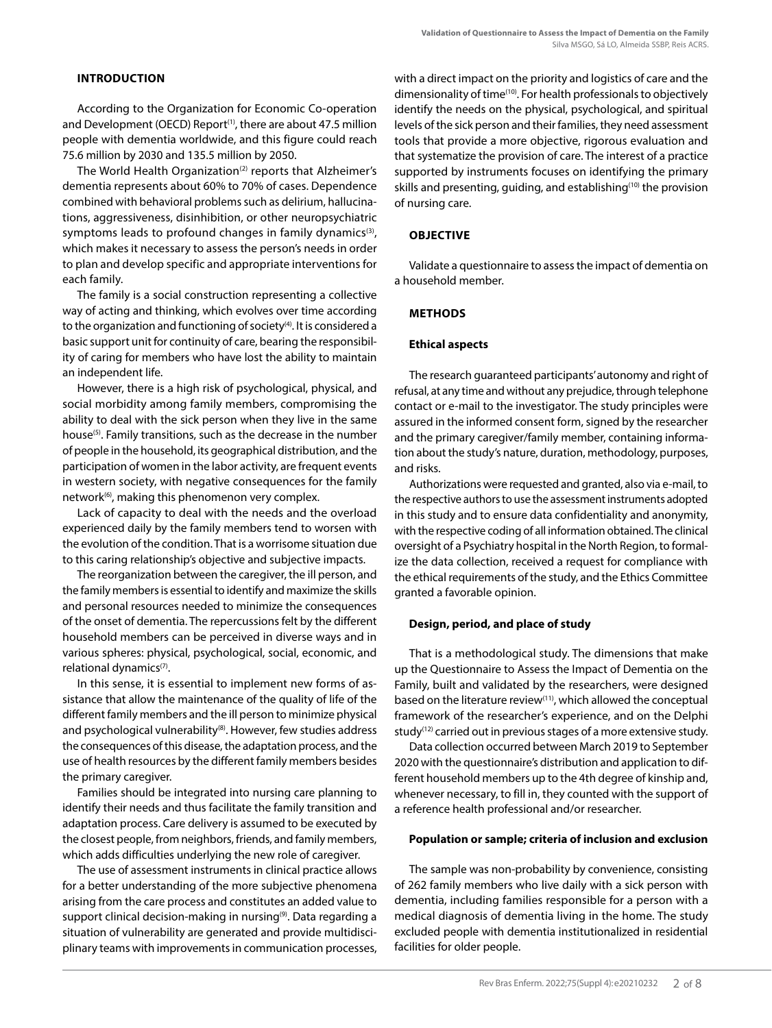# **INTRODUCTION**

According to the Organization for Economic Co-operation and Development (OECD) Report<sup>(1)</sup>, there are about 47.5 million people with dementia worldwide, and this figure could reach 75.6 million by 2030 and 135.5 million by 2050.

The World Health Organization<sup>(2)</sup> reports that Alzheimer's dementia represents about 60% to 70% of cases. Dependence combined with behavioral problems such as delirium, hallucinations, aggressiveness, disinhibition, or other neuropsychiatric symptoms leads to profound changes in family dynamics<sup>(3)</sup>, which makes it necessary to assess the person's needs in order to plan and develop specific and appropriate interventions for each family.

The family is a social construction representing a collective way of acting and thinking, which evolves over time according to the organization and functioning of society<sup>(4)</sup>. It is considered a basic support unit for continuity of care, bearing the responsibility of caring for members who have lost the ability to maintain an independent life.

However, there is a high risk of psychological, physical, and social morbidity among family members, compromising the ability to deal with the sick person when they live in the same house<sup>(5)</sup>. Family transitions, such as the decrease in the number of people in the household, its geographical distribution, and the participation of women in the labor activity, are frequent events in western society, with negative consequences for the family network<sup>(6)</sup>, making this phenomenon very complex.

Lack of capacity to deal with the needs and the overload experienced daily by the family members tend to worsen with the evolution of the condition. That is a worrisome situation due to this caring relationship's objective and subjective impacts.

The reorganization between the caregiver, the ill person, and the family members is essential to identify and maximize the skills and personal resources needed to minimize the consequences of the onset of dementia. The repercussions felt by the different household members can be perceived in diverse ways and in various spheres: physical, psychological, social, economic, and relational dynamics<sup>(7)</sup>.

In this sense, it is essential to implement new forms of assistance that allow the maintenance of the quality of life of the different family members and the ill person to minimize physical and psychological vulnerability<sup>(8)</sup>. However, few studies address the consequences of this disease, the adaptation process, and the use of health resources by the different family members besides the primary caregiver.

Families should be integrated into nursing care planning to identify their needs and thus facilitate the family transition and adaptation process. Care delivery is assumed to be executed by the closest people, from neighbors, friends, and family members, which adds difficulties underlying the new role of caregiver.

The use of assessment instruments in clinical practice allows for a better understanding of the more subjective phenomena arising from the care process and constitutes an added value to support clinical decision-making in nursing<sup>(9)</sup>. Data regarding a situation of vulnerability are generated and provide multidisciplinary teams with improvements in communication processes, with a direct impact on the priority and logistics of care and the dimensionality of time<sup>(10)</sup>. For health professionals to objectively identify the needs on the physical, psychological, and spiritual levels of the sick person and their families, they need assessment tools that provide a more objective, rigorous evaluation and that systematize the provision of care. The interest of a practice supported by instruments focuses on identifying the primary skills and presenting, guiding, and establishing<sup>(10)</sup> the provision of nursing care.

## **OBJECTIVE**

Validate a questionnaire to assess the impact of dementia on a household member.

## **METHODS**

## **Ethical aspects**

The research guaranteed participants' autonomy and right of refusal, at any time and without any prejudice, through telephone contact or e-mail to the investigator. The study principles were assured in the informed consent form, signed by the researcher and the primary caregiver/family member, containing information about the study's nature, duration, methodology, purposes, and risks.

Authorizations were requested and granted, also via e-mail, to the respective authors to use the assessment instruments adopted in this study and to ensure data confidentiality and anonymity, with the respective coding of all information obtained. The clinical oversight of a Psychiatry hospital in the North Region, to formalize the data collection, received a request for compliance with the ethical requirements of the study, and the Ethics Committee granted a favorable opinion.

## **Design, period, and place of study**

That is a methodological study. The dimensions that make up the Questionnaire to Assess the Impact of Dementia on the Family, built and validated by the researchers, were designed based on the literature review<sup>(11)</sup>, which allowed the conceptual framework of the researcher's experience, and on the Delphi study<sup>(12)</sup> carried out in previous stages of a more extensive study.

Data collection occurred between March 2019 to September 2020 with the questionnaire's distribution and application to different household members up to the 4th degree of kinship and, whenever necessary, to fill in, they counted with the support of a reference health professional and/or researcher.

## **Population or sample; criteria of inclusion and exclusion**

The sample was non-probability by convenience, consisting of 262 family members who live daily with a sick person with dementia, including families responsible for a person with a medical diagnosis of dementia living in the home. The study excluded people with dementia institutionalized in residential facilities for older people.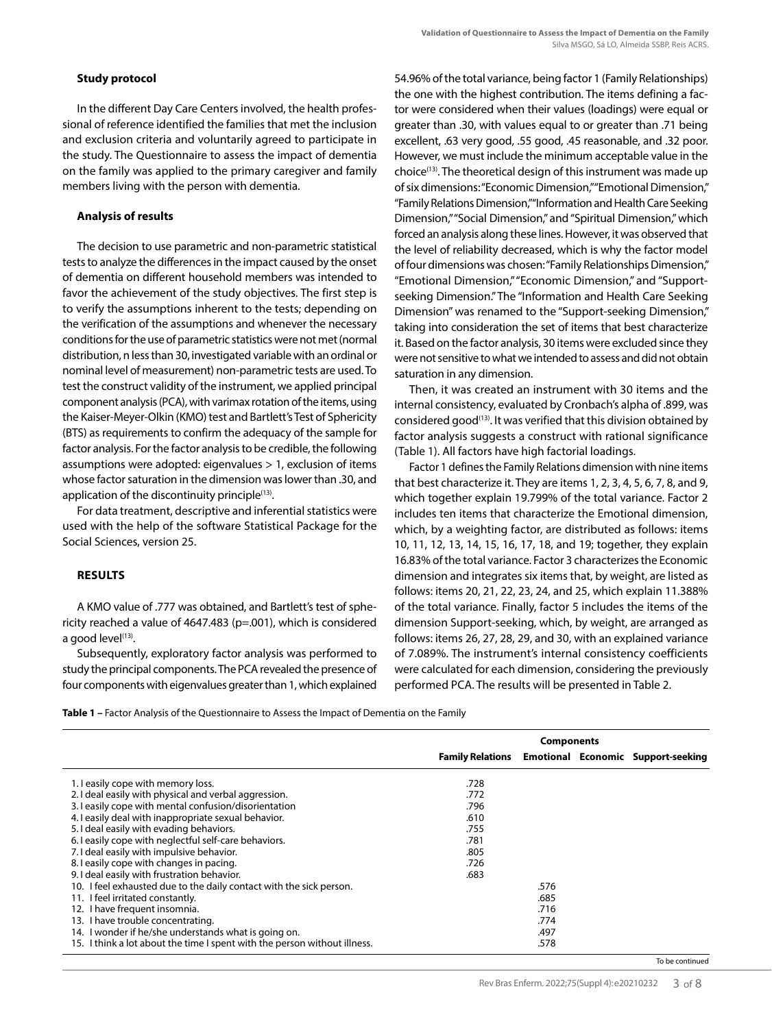# **Study protocol**

In the different Day Care Centers involved, the health professional of reference identified the families that met the inclusion and exclusion criteria and voluntarily agreed to participate in the study. The Questionnaire to assess the impact of dementia on the family was applied to the primary caregiver and family members living with the person with dementia.

# **Analysis of results**

The decision to use parametric and non-parametric statistical tests to analyze the differences in the impact caused by the onset of dementia on different household members was intended to favor the achievement of the study objectives. The first step is to verify the assumptions inherent to the tests; depending on the verification of the assumptions and whenever the necessary conditions for the use of parametric statistics were not met (normal distribution, n less than 30, investigated variable with an ordinal or nominal level of measurement) non-parametric tests are used. To test the construct validity of the instrument, we applied principal component analysis (PCA), with varimax rotation of the items, using the Kaiser-Meyer-Olkin (KMO) test and Bartlett's Test of Sphericity (BTS) as requirements to confirm the adequacy of the sample for factor analysis. For the factor analysis to be credible, the following assumptions were adopted: eigenvalues > 1, exclusion of items whose factor saturation in the dimension was lower than .30, and application of the discontinuity principle<sup>(13)</sup>.

For data treatment, descriptive and inferential statistics were used with the help of the software Statistical Package for the Social Sciences, version 25.

# **RESULTS**

A KMO value of .777 was obtained, and Bartlett's test of sphericity reached a value of 4647.483 (p=.001), which is considered a good level $^{(13)}$ .

Subsequently, exploratory factor analysis was performed to study the principal components. The PCA revealed the presence of four components with eigenvalues greater than 1, which explained 54.96% of the total variance, being factor 1 (Family Relationships) the one with the highest contribution. The items defining a factor were considered when their values (loadings) were equal or greater than .30, with values equal to or greater than .71 being excellent, .63 very good, .55 good, .45 reasonable, and .32 poor. However, we must include the minimum acceptable value in the choice(13). The theoretical design of this instrument was made up of six dimensions: "Economic Dimension," "Emotional Dimension," "Family Relations Dimension," "Information and Health Care Seeking Dimension," "Social Dimension," and "Spiritual Dimension," which forced an analysis along these lines. However, it was observed that the level of reliability decreased, which is why the factor model of four dimensions was chosen: "Family Relationships Dimension," "Emotional Dimension," "Economic Dimension," and "Supportseeking Dimension." The "Information and Health Care Seeking Dimension" was renamed to the "Support-seeking Dimension," taking into consideration the set of items that best characterize it. Based on the factor analysis, 30 items were excluded since they were not sensitive to what we intended to assess and did not obtain saturation in any dimension.

Then, it was created an instrument with 30 items and the internal consistency, evaluated by Cronbach's alpha of .899, was considered good<sup>(13)</sup>. It was verified that this division obtained by factor analysis suggests a construct with rational significance (Table 1). All factors have high factorial loadings.

Factor 1 defines the Family Relations dimension with nine items that best characterize it. They are items 1, 2, 3, 4, 5, 6, 7, 8, and 9, which together explain 19.799% of the total variance. Factor 2 includes ten items that characterize the Emotional dimension, which, by a weighting factor, are distributed as follows: items 10, 11, 12, 13, 14, 15, 16, 17, 18, and 19; together, they explain 16.83% of the total variance. Factor 3 characterizes the Economic dimension and integrates six items that, by weight, are listed as follows: items 20, 21, 22, 23, 24, and 25, which explain 11.388% of the total variance. Finally, factor 5 includes the items of the dimension Support-seeking, which, by weight, are arranged as follows: items 26, 27, 28, 29, and 30, with an explained variance of 7.089%. The instrument's internal consistency coefficients were calculated for each dimension, considering the previously performed PCA. The results will be presented in Table 2.

**Table 1 –** Factor Analysis of the Questionnaire to Assess the Impact of Dementia on the Family

|                                                                           |      | <b>Components</b> |  |                                                            |  |
|---------------------------------------------------------------------------|------|-------------------|--|------------------------------------------------------------|--|
|                                                                           |      |                   |  | <b>Family Relations Emotional Economic Support-seeking</b> |  |
| 1. I easily cope with memory loss.                                        | .728 |                   |  |                                                            |  |
| 2. I deal easily with physical and verbal aggression.                     | .772 |                   |  |                                                            |  |
| 3. I easily cope with mental confusion/disorientation                     | .796 |                   |  |                                                            |  |
| 4. I easily deal with inappropriate sexual behavior.                      | .610 |                   |  |                                                            |  |
| 5. I deal easily with evading behaviors.                                  | .755 |                   |  |                                                            |  |
| 6. I easily cope with neglectful self-care behaviors.                     | .781 |                   |  |                                                            |  |
| 7.1 deal easily with impulsive behavior.                                  | .805 |                   |  |                                                            |  |
| 8. I easily cope with changes in pacing.                                  | .726 |                   |  |                                                            |  |
| 9.1 deal easily with frustration behavior.                                | .683 |                   |  |                                                            |  |
| 10. I feel exhausted due to the daily contact with the sick person.       |      | .576              |  |                                                            |  |
| 11. I feel irritated constantly.                                          |      | .685              |  |                                                            |  |
| 12. I have frequent insomnia.                                             |      | .716              |  |                                                            |  |
| 13. I have trouble concentrating.                                         |      | .774              |  |                                                            |  |
| 14. I wonder if he/she understands what is going on.                      |      | .497              |  |                                                            |  |
| 15. I think a lot about the time I spent with the person without illness. |      | .578              |  |                                                            |  |
|                                                                           |      |                   |  | To be continued                                            |  |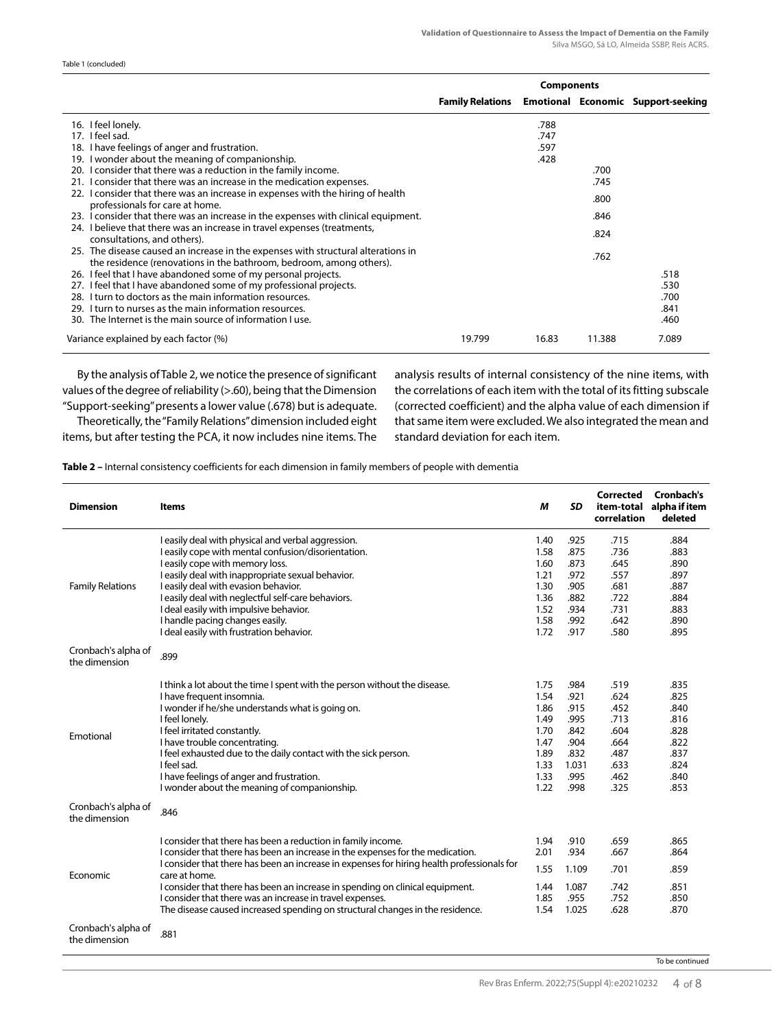Table 1 (concluded)

|                                                                                                                                                                                         | <b>Components</b>       |       |        |                                           |
|-----------------------------------------------------------------------------------------------------------------------------------------------------------------------------------------|-------------------------|-------|--------|-------------------------------------------|
|                                                                                                                                                                                         | <b>Family Relations</b> |       |        | <b>Emotional Economic Support-seeking</b> |
| 16. I feel lonely.                                                                                                                                                                      |                         | .788  |        |                                           |
| 17. I feel sad.                                                                                                                                                                         |                         | .747  |        |                                           |
| 18. I have feelings of anger and frustration.                                                                                                                                           |                         | .597  |        |                                           |
| 19. I wonder about the meaning of companionship.                                                                                                                                        |                         | .428  |        |                                           |
| 20. I consider that there was a reduction in the family income.                                                                                                                         |                         |       | .700   |                                           |
| 21. I consider that there was an increase in the medication expenses.                                                                                                                   |                         |       | .745   |                                           |
| 22. I consider that there was an increase in expenses with the hiring of health<br>professionals for care at home.                                                                      |                         |       | .800   |                                           |
| 23. I consider that there was an increase in the expenses with clinical equipment.                                                                                                      |                         |       | .846   |                                           |
| 24. I believe that there was an increase in travel expenses (treatments,                                                                                                                |                         |       | .824   |                                           |
| consultations, and others).<br>25. The disease caused an increase in the expenses with structural alterations in<br>the residence (renovations in the bathroom, bedroom, among others). |                         |       | .762   |                                           |
| 26. I feel that I have abandoned some of my personal projects.                                                                                                                          |                         |       |        | .518                                      |
| 27. I feel that I have abandoned some of my professional projects.                                                                                                                      |                         |       |        | .530                                      |
| 28. I turn to doctors as the main information resources.                                                                                                                                |                         |       |        | .700                                      |
| 29. I turn to nurses as the main information resources.                                                                                                                                 |                         |       |        | .841                                      |
| 30. The Internet is the main source of information Luse.                                                                                                                                |                         |       |        | .460                                      |
| Variance explained by each factor (%)                                                                                                                                                   | 19.799                  | 16.83 | 11.388 | 7.089                                     |

By the analysis of Table 2, we notice the presence of significant values of the degree of reliability (>.60), being that the Dimension "Support-seeking" presents a lower value (.678) but is adequate.

Theoretically, the "Family Relations" dimension included eight items, but after testing the PCA, it now includes nine items. The

analysis results of internal consistency of the nine items, with the correlations of each item with the total of its fitting subscale (corrected coefficient) and the alpha value of each dimension if that same item were excluded. We also integrated the mean and standard deviation for each item.

**Table 2 –** Internal consistency coefficients for each dimension in family members of people with dementia

| <b>Dimension</b>                     | <b>Items</b>                                                                               | M    | <b>SD</b> | <b>Corrected</b><br>item-total<br>correlation | <b>Cronbach's</b><br>alpha if item<br>deleted |
|--------------------------------------|--------------------------------------------------------------------------------------------|------|-----------|-----------------------------------------------|-----------------------------------------------|
|                                      | I easily deal with physical and verbal aggression.                                         | 1.40 | .925      | .715                                          | .884                                          |
|                                      | I easily cope with mental confusion/disorientation.                                        | 1.58 | .875      | .736                                          | .883                                          |
|                                      | I easily cope with memory loss.                                                            | 1.60 | .873      | .645                                          | .890                                          |
|                                      | I easily deal with inappropriate sexual behavior.                                          | 1.21 | .972      | .557                                          | .897                                          |
| <b>Family Relations</b>              | I easily deal with evasion behavior.                                                       | 1.30 | .905      | .681                                          | .887                                          |
|                                      | I easily deal with neglectful self-care behaviors.                                         | 1.36 | .882      | .722                                          | .884                                          |
|                                      | I deal easily with impulsive behavior.                                                     | 1.52 | .934      | .731                                          | .883                                          |
|                                      | I handle pacing changes easily.                                                            | 1.58 | .992      | .642                                          | .890                                          |
|                                      | I deal easily with frustration behavior.                                                   | 1.72 | .917      | .580                                          | .895                                          |
| Cronbach's alpha of<br>the dimension | .899                                                                                       |      |           |                                               |                                               |
|                                      | I think a lot about the time I spent with the person without the disease.                  | 1.75 | .984      | .519                                          | .835                                          |
|                                      | I have frequent insomnia.                                                                  | 1.54 | .921      | .624                                          | .825                                          |
|                                      | I wonder if he/she understands what is going on.                                           | 1.86 | .915      | .452                                          | .840                                          |
|                                      | I feel lonely.                                                                             | 1.49 | .995      | .713                                          | .816                                          |
|                                      | I feel irritated constantly.                                                               | 1.70 | .842      | .604                                          | .828                                          |
| Emotional                            | I have trouble concentrating.                                                              | 1.47 | .904      | .664                                          | .822                                          |
|                                      | I feel exhausted due to the daily contact with the sick person.                            | 1.89 | .832      | .487                                          | .837                                          |
|                                      | I feel sad.                                                                                | 1.33 | 1.031     | .633                                          | .824                                          |
|                                      | I have feelings of anger and frustration.                                                  | 1.33 | .995      | .462                                          | .840                                          |
|                                      | I wonder about the meaning of companionship.                                               | 1.22 | .998      | .325                                          | .853                                          |
|                                      |                                                                                            |      |           |                                               |                                               |
| Cronbach's alpha of<br>the dimension | .846                                                                                       |      |           |                                               |                                               |
|                                      | I consider that there has been a reduction in family income.                               | 1.94 | .910      | .659                                          | .865                                          |
|                                      | I consider that there has been an increase in the expenses for the medication.             | 2.01 | .934      | .667                                          | .864                                          |
|                                      | I consider that there has been an increase in expenses for hiring health professionals for |      |           |                                               |                                               |
| Economic                             | care at home.                                                                              | 1.55 | 1.109     | .701                                          | .859                                          |
|                                      | I consider that there has been an increase in spending on clinical equipment.              | 1.44 | 1.087     | .742                                          | .851                                          |
|                                      | I consider that there was an increase in travel expenses.                                  | 1.85 | .955      | .752                                          | .850                                          |
|                                      | The disease caused increased spending on structural changes in the residence.              | 1.54 | 1.025     | .628                                          | .870                                          |
|                                      |                                                                                            |      |           |                                               |                                               |
| Cronbach's alpha of<br>the dimension | .881                                                                                       |      |           |                                               |                                               |

To be continued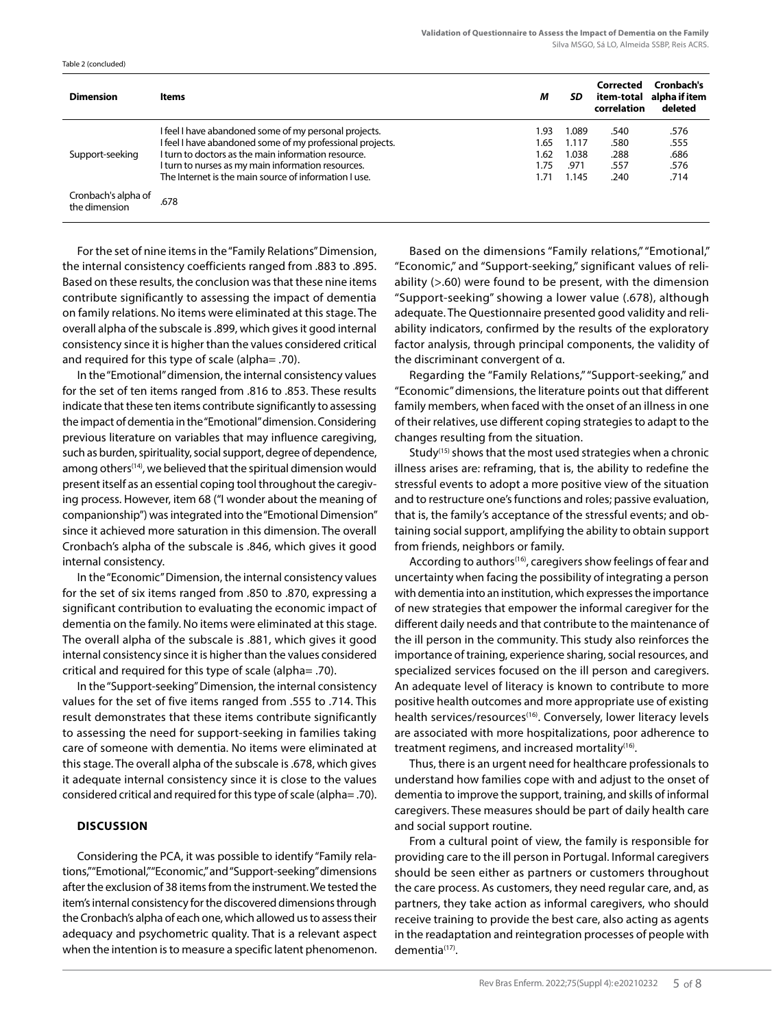| <b>Dimension</b>                     | <b>Items</b>                                              | М    | SD.   | Corrected<br>item-total<br>correlation | Cronbach's<br>alpha if item<br>deleted |
|--------------------------------------|-----------------------------------------------------------|------|-------|----------------------------------------|----------------------------------------|
| Support-seeking                      | I feel I have abandoned some of my personal projects.     | 1.93 | 1.089 | .540                                   | .576                                   |
|                                      | I feel I have abandoned some of my professional projects. | 1.65 | 1.117 | .580                                   | .555                                   |
|                                      | I turn to doctors as the main information resource.       | 1.62 | 1.038 | .288                                   | .686                                   |
|                                      | I turn to nurses as my main information resources.        | 1.75 | .971  | .557                                   | .576                                   |
|                                      | The Internet is the main source of information I use.     | 1.71 | 1.145 | .240                                   | .714                                   |
| Cronbach's alpha of<br>the dimension | .678                                                      |      |       |                                        |                                        |

For the set of nine items in the "Family Relations" Dimension, the internal consistency coefficients ranged from .883 to .895. Based on these results, the conclusion was that these nine items contribute significantly to assessing the impact of dementia on family relations. No items were eliminated at this stage. The overall alpha of the subscale is .899, which gives it good internal consistency since it is higher than the values considered critical and required for this type of scale (alpha= .70).

In the "Emotional" dimension, the internal consistency values for the set of ten items ranged from .816 to .853. These results indicate that these ten items contribute significantly to assessing the impact of dementia in the "Emotional" dimension. Considering previous literature on variables that may influence caregiving, such as burden, spirituality, social support, degree of dependence, among others<sup>(14)</sup>, we believed that the spiritual dimension would present itself as an essential coping tool throughout the caregiving process. However, item 68 ("I wonder about the meaning of companionship") was integrated into the "Emotional Dimension" since it achieved more saturation in this dimension. The overall Cronbach's alpha of the subscale is .846, which gives it good internal consistency.

In the "Economic" Dimension, the internal consistency values for the set of six items ranged from .850 to .870, expressing a significant contribution to evaluating the economic impact of dementia on the family. No items were eliminated at this stage. The overall alpha of the subscale is .881, which gives it good internal consistency since it is higher than the values considered critical and required for this type of scale (alpha= .70).

In the "Support-seeking" Dimension, the internal consistency values for the set of five items ranged from .555 to .714. This result demonstrates that these items contribute significantly to assessing the need for support-seeking in families taking care of someone with dementia. No items were eliminated at this stage. The overall alpha of the subscale is .678, which gives it adequate internal consistency since it is close to the values considered critical and required for this type of scale (alpha= .70).

# **DISCUSSION**

Table 2 (concluded)

Considering the PCA, it was possible to identify "Family relations," "Emotional," "Economic," and "Support-seeking" dimensions after the exclusion of 38 items from the instrument. We tested the item's internal consistency for the discovered dimensions through the Cronbach's alpha of each one, which allowed us to assess their adequacy and psychometric quality. That is a relevant aspect when the intention is to measure a specific latent phenomenon.

Based on the dimensions "Family relations," "Emotional," "Economic," and "Support-seeking," significant values of reliability (>.60) were found to be present, with the dimension "Support-seeking" showing a lower value (.678), although adequate. The Questionnaire presented good validity and reliability indicators, confirmed by the results of the exploratory factor analysis, through principal components, the validity of the discriminant convergent of α.

Regarding the "Family Relations," "Support-seeking," and "Economic" dimensions, the literature points out that different family members, when faced with the onset of an illness in one of their relatives, use different coping strategies to adapt to the changes resulting from the situation.

Study(15) shows that the most used strategies when a chronic illness arises are: reframing, that is, the ability to redefine the stressful events to adopt a more positive view of the situation and to restructure one's functions and roles; passive evaluation, that is, the family's acceptance of the stressful events; and obtaining social support, amplifying the ability to obtain support from friends, neighbors or family.

According to authors<sup>(16)</sup>, caregivers show feelings of fear and uncertainty when facing the possibility of integrating a person with dementia into an institution, which expresses the importance of new strategies that empower the informal caregiver for the different daily needs and that contribute to the maintenance of the ill person in the community. This study also reinforces the importance of training, experience sharing, social resources, and specialized services focused on the ill person and caregivers. An adequate level of literacy is known to contribute to more positive health outcomes and more appropriate use of existing health services/resources<sup>(16)</sup>. Conversely, lower literacy levels are associated with more hospitalizations, poor adherence to treatment regimens, and increased mortality<sup>(16)</sup>.

Thus, there is an urgent need for healthcare professionals to understand how families cope with and adjust to the onset of dementia to improve the support, training, and skills of informal caregivers. These measures should be part of daily health care and social support routine.

From a cultural point of view, the family is responsible for providing care to the ill person in Portugal. Informal caregivers should be seen either as partners or customers throughout the care process. As customers, they need regular care, and, as partners, they take action as informal caregivers, who should receive training to provide the best care, also acting as agents in the readaptation and reintegration processes of people with dementia<sup>(17)</sup>.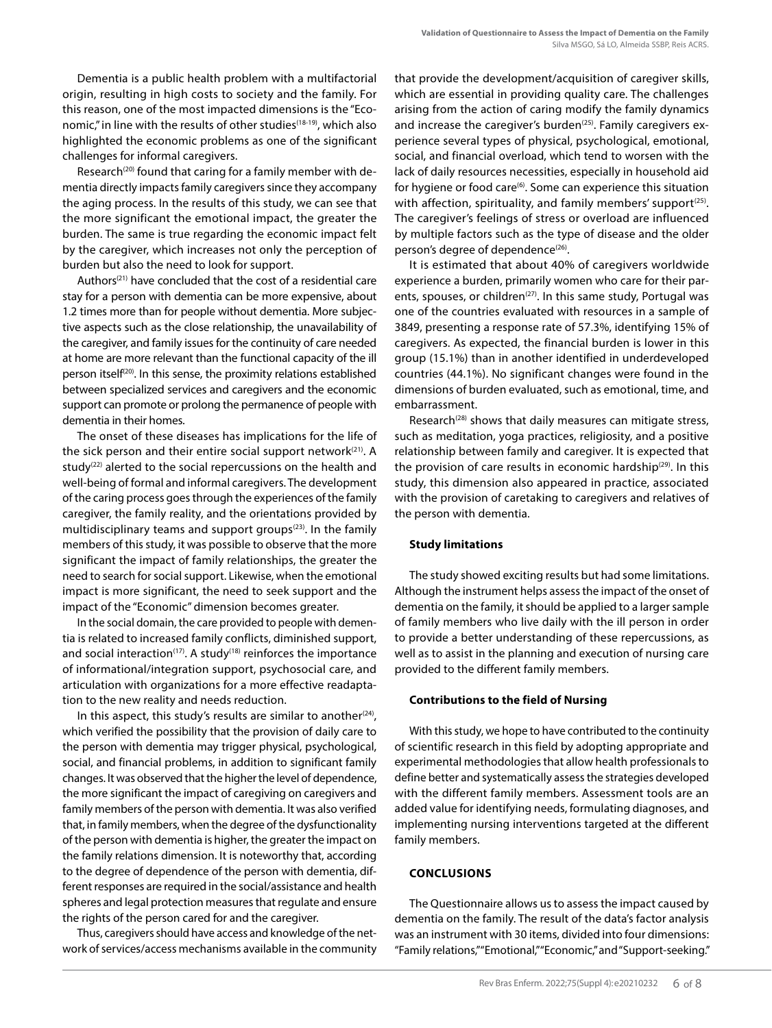Dementia is a public health problem with a multifactorial origin, resulting in high costs to society and the family. For this reason, one of the most impacted dimensions is the "Economic," in line with the results of other studies<sup>(18-19)</sup>, which also highlighted the economic problems as one of the significant challenges for informal caregivers.

Research<sup>(20)</sup> found that caring for a family member with dementia directly impacts family caregivers since they accompany the aging process. In the results of this study, we can see that the more significant the emotional impact, the greater the burden. The same is true regarding the economic impact felt by the caregiver, which increases not only the perception of burden but also the need to look for support.

Authors<sup>(21)</sup> have concluded that the cost of a residential care stay for a person with dementia can be more expensive, about 1.2 times more than for people without dementia. More subjective aspects such as the close relationship, the unavailability of the caregiver, and family issues for the continuity of care needed at home are more relevant than the functional capacity of the ill person itself(20). In this sense, the proximity relations established between specialized services and caregivers and the economic support can promote or prolong the permanence of people with dementia in their homes.

The onset of these diseases has implications for the life of the sick person and their entire social support network<sup>(21)</sup>. A study<sup>(22)</sup> alerted to the social repercussions on the health and well-being of formal and informal caregivers. The development of the caring process goes through the experiences of the family caregiver, the family reality, and the orientations provided by multidisciplinary teams and support groups<sup>(23)</sup>. In the family members of this study, it was possible to observe that the more significant the impact of family relationships, the greater the need to search for social support. Likewise, when the emotional impact is more significant, the need to seek support and the impact of the "Economic" dimension becomes greater.

In the social domain, the care provided to people with dementia is related to increased family conflicts, diminished support, and social interaction $(17)$ . A study $(18)$  reinforces the importance of informational/integration support, psychosocial care, and articulation with organizations for a more effective readaptation to the new reality and needs reduction.

In this aspect, this study's results are similar to another $(24)$ , which verified the possibility that the provision of daily care to the person with dementia may trigger physical, psychological, social, and financial problems, in addition to significant family changes. It was observed that the higher the level of dependence, the more significant the impact of caregiving on caregivers and family members of the person with dementia. It was also verified that, in family members, when the degree of the dysfunctionality of the person with dementia is higher, the greater the impact on the family relations dimension. It is noteworthy that, according to the degree of dependence of the person with dementia, different responses are required in the social/assistance and health spheres and legal protection measures that regulate and ensure the rights of the person cared for and the caregiver.

Thus, caregivers should have access and knowledge of the network of services/access mechanisms available in the community that provide the development/acquisition of caregiver skills, which are essential in providing quality care. The challenges arising from the action of caring modify the family dynamics and increase the caregiver's burden<sup>(25)</sup>. Family caregivers experience several types of physical, psychological, emotional, social, and financial overload, which tend to worsen with the lack of daily resources necessities, especially in household aid for hygiene or food care<sup>(6)</sup>. Some can experience this situation with affection, spirituality, and family members' support<sup>(25)</sup>. The caregiver's feelings of stress or overload are influenced by multiple factors such as the type of disease and the older person's degree of dependence<sup>(26)</sup>.

It is estimated that about 40% of caregivers worldwide experience a burden, primarily women who care for their parents, spouses, or children<sup>(27)</sup>. In this same study, Portugal was one of the countries evaluated with resources in a sample of 3849, presenting a response rate of 57.3%, identifying 15% of caregivers. As expected, the financial burden is lower in this group (15.1%) than in another identified in underdeveloped countries (44.1%). No significant changes were found in the dimensions of burden evaluated, such as emotional, time, and embarrassment.

Research<sup>(28)</sup> shows that daily measures can mitigate stress, such as meditation, yoga practices, religiosity, and a positive relationship between family and caregiver. It is expected that the provision of care results in economic hardship<sup>(29)</sup>. In this study, this dimension also appeared in practice, associated with the provision of caretaking to caregivers and relatives of the person with dementia.

## **Study limitations**

The study showed exciting results but had some limitations. Although the instrument helps assess the impact of the onset of dementia on the family, it should be applied to a larger sample of family members who live daily with the ill person in order to provide a better understanding of these repercussions, as well as to assist in the planning and execution of nursing care provided to the different family members.

## **Contributions to the field of Nursing**

With this study, we hope to have contributed to the continuity of scientific research in this field by adopting appropriate and experimental methodologies that allow health professionals to define better and systematically assess the strategies developed with the different family members. Assessment tools are an added value for identifying needs, formulating diagnoses, and implementing nursing interventions targeted at the different family members.

# **CONCLUSIONS**

The Questionnaire allows us to assess the impact caused by dementia on the family. The result of the data's factor analysis was an instrument with 30 items, divided into four dimensions: "Family relations," "Emotional," "Economic," and "Support-seeking."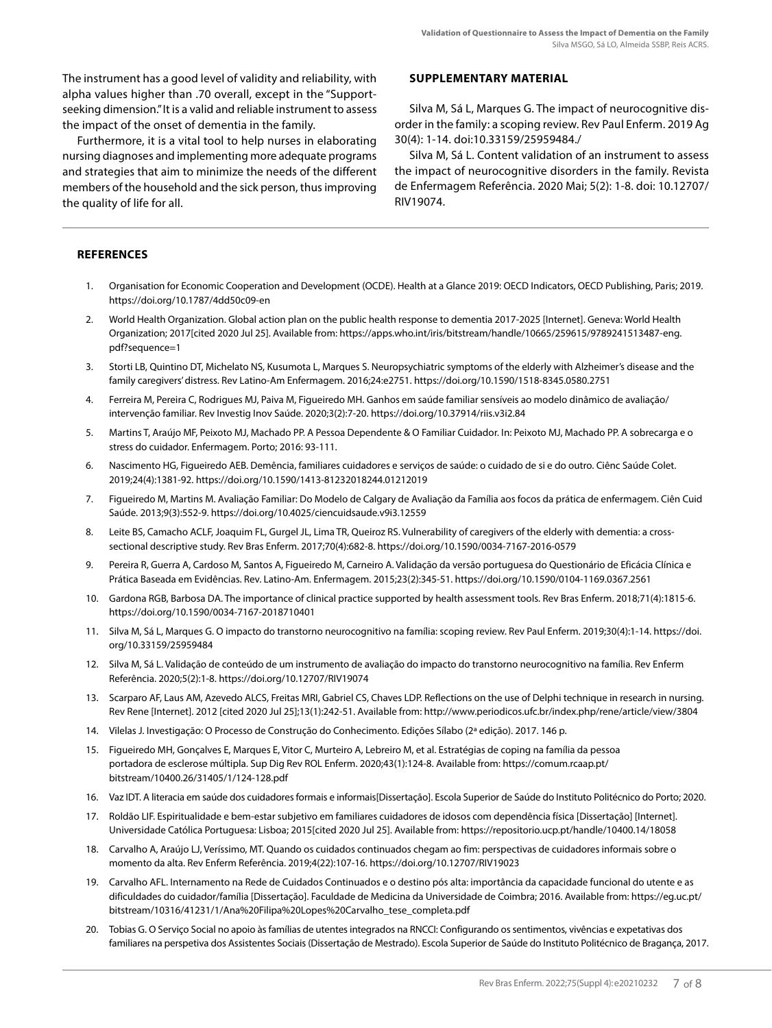The instrument has a good level of validity and reliability, with alpha values higher than .70 overall, except in the "Supportseeking dimension." It is a valid and reliable instrument to assess the impact of the onset of dementia in the family.

Furthermore, it is a vital tool to help nurses in elaborating nursing diagnoses and implementing more adequate programs and strategies that aim to minimize the needs of the different members of the household and the sick person, thus improving the quality of life for all.

#### **SUPPLEMENTARY MATERIAL**

Silva M, Sá L, Marques G. The impact of neurocognitive disorder in the family: a scoping review. Rev Paul Enferm. 2019 Ag 30(4): 1-14. doi:10.33159/25959484./

Silva M, Sá L. Content validation of an instrument to assess the impact of neurocognitive disorders in the family. Revista de Enfermagem Referência. 2020 Mai; 5(2): 1-8. doi: 10.12707/ RIV19074.

# **REFERENCES**

- 1. Organisation for Economic Cooperation and Development (OCDE). Health at a Glance 2019: OECD Indicators, OECD Publishing, Paris; 2019. https://doi.org/10.1787/4dd50c09-en
- 2. World Health Organization. Global action plan on the public health response to dementia 2017-2025 [Internet]. Geneva: World Health Organization; 2017[cited 2020 Jul 25]. Available from: https://apps.who.int/iris/bitstream/handle/10665/259615/9789241513487-eng. pdf?sequence=1
- 3. Storti LB, Quintino DT, Michelato NS, Kusumota L, Marques S. Neuropsychiatric symptoms of the elderly with Alzheimer's disease and the family caregivers' distress. Rev Latino-Am Enfermagem. 2016;24:e2751. https://doi.org/10.1590/1518-8345.0580.2751
- 4. Ferreira M, Pereira C, Rodrigues MJ, Paiva M, Figueiredo MH. Ganhos em saúde familiar sensíveis ao modelo dinâmico de avaliação/ intervenção familiar. Rev Investig Inov Saúde. 2020;3(2):7-20. https://doi.org/10.37914/riis.v3i2.84
- 5. Martins T, Araújo MF, Peixoto MJ, Machado PP. A Pessoa Dependente & O Familiar Cuidador. In: Peixoto MJ, Machado PP. A sobrecarga e o stress do cuidador. Enfermagem. Porto; 2016: 93-111.
- 6. Nascimento HG, Figueiredo AEB. Demência, familiares cuidadores e serviços de saúde: o cuidado de si e do outro. Ciênc Saúde Colet. 2019;24(4):1381-92. https://doi.org/10.1590/1413-81232018244.01212019
- 7. Figueiredo M, Martins M. Avaliação Familiar: Do Modelo de Calgary de Avaliação da Família aos focos da prática de enfermagem. Ciên Cuid Saúde. 2013;9(3):552-9. https://doi.org/10.4025/ciencuidsaude.v9i3.12559
- 8. Leite BS, Camacho ACLF, Joaquim FL, Gurgel JL, Lima TR, Queiroz RS. Vulnerability of caregivers of the elderly with dementia: a crosssectional descriptive study. Rev Bras Enferm. 2017;70(4):682-8. https://doi.org/10.1590/0034-7167-2016-0579
- 9. Pereira R, Guerra A, Cardoso M, Santos A, Figueiredo M, Carneiro A. Validação da versão portuguesa do Questionário de Eficácia Clínica e Prática Baseada em Evidências. Rev. Latino-Am. Enfermagem. 2015;23(2):345-51. https://doi.org/10.1590/0104-1169.0367.2561
- 10. Gardona RGB, Barbosa DA. The importance of clinical practice supported by health assessment tools. Rev Bras Enferm. 2018;71(4):1815-6. https://doi.org/10.1590/0034-7167-2018710401
- 11. Silva M, Sá L, Marques G. O impacto do transtorno neurocognitivo na família: scoping review. Rev Paul Enferm. 2019;30(4):1-14. https://doi. org/10.33159/25959484
- 12. Silva M, Sá L. Validação de conteúdo de um instrumento de avaliação do impacto do transtorno neurocognitivo na família. Rev Enferm Referência. 2020;5(2):1-8. https://doi.org/10.12707/RIV19074
- 13. Scarparo AF, Laus AM, Azevedo ALCS, Freitas MRI, Gabriel CS, Chaves LDP. Reflections on the use of Delphi technique in research in nursing. Rev Rene [Internet]. 2012 [cited 2020 Jul 25];13(1):242-51. Available from: http://www.periodicos.ufc.br/index.php/rene/article/view/3804
- 14. Vilelas J. Investigação: O Processo de Construção do Conhecimento. Edições Sílabo (2ª edição). 2017. 146 p.
- 15. Figueiredo MH, Gonçalves E, Marques E, Vitor C, Murteiro A, Lebreiro M, et al. Estratégias de coping na família da pessoa portadora de esclerose múltipla. Sup Dig Rev ROL Enferm. 2020;43(1):124-8. Available from: https://comum.rcaap.pt/ bitstream/10400.26/31405/1/124-128.pdf
- 16. Vaz IDT. A literacia em saúde dos cuidadores formais e informais[Dissertação]. Escola Superior de Saúde do Instituto Politécnico do Porto; 2020.
- 17. Roldão LIF. Espiritualidade e bem-estar subjetivo em familiares cuidadores de idosos com dependência física [Dissertação] [Internet]. Universidade Católica Portuguesa: Lisboa; 2015[cited 2020 Jul 25]. Available from: https://repositorio.ucp.pt/handle/10400.14/18058
- 18. Carvalho A, Araújo LJ, Veríssimo, MT. Quando os cuidados continuados chegam ao fim: perspectivas de cuidadores informais sobre o momento da alta. Rev Enferm Referência. 2019;4(22):107-16. https://doi.org/10.12707/RIV19023
- 19. Carvalho AFL. Internamento na Rede de Cuidados Continuados e o destino pós alta: importância da capacidade funcional do utente e as dificuldades do cuidador/família [Dissertação]. Faculdade de Medicina da Universidade de Coimbra; 2016. Available from: https://eg.uc.pt/ bitstream/10316/41231/1/Ana%20Filipa%20Lopes%20Carvalho\_tese\_completa.pdf
- 20. Tobias G. O Serviço Social no apoio às famílias de utentes integrados na RNCCI: Configurando os sentimentos, vivências e expetativas dos familiares na perspetiva dos Assistentes Sociais (Dissertação de Mestrado). Escola Superior de Saúde do Instituto Politécnico de Bragança, 2017.